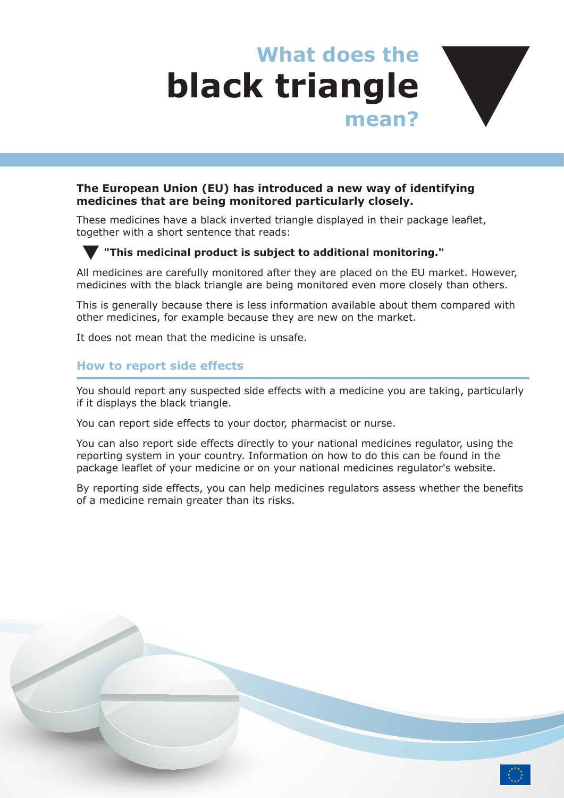## **What does the black triangle mean?**

## **The European Union (EU) has introduced a new way of identifying medicines that are being monitored particularly closely.**

These medicines have a black inverted triangle displayed in their package leaflet, together with a short sentence that reads:

## **"This medicinal product is subject to additional monitoring."**

All medicines are carefully monitored after they are placed on the EU market. However, medicines with the black triangle are being monitored even more closely than others.

This is generally because there is less information available about them compared with other medicines, for example because they are new on the market.

It does not mean that the medicine is unsafe.

## **How to report side effects**

You should report any suspected side effects with a medicine you are taking, particularly if it displays the black triangle.

You can report side effects to your doctor, pharmacist or nurse.

You can also report side effects directly to your national medicines regulator, using the reporting system in your country. Information on how to do this can be found in the package leaflet of your medicine or on your national medicines regulator's website.

By reporting side effects, you can help medicines regulators assess whether the benefits of a medicine remain greater than its risks.